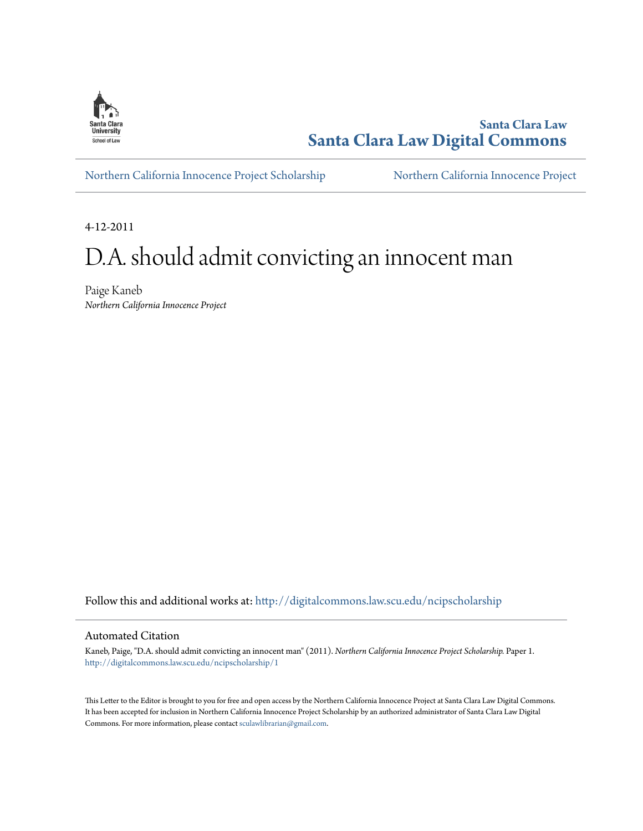

**Santa Clara Law [Santa Clara Law Digital Commons](http://digitalcommons.law.scu.edu?utm_source=digitalcommons.law.scu.edu%2Fncipscholarship%2F1&utm_medium=PDF&utm_campaign=PDFCoverPages)**

[Northern California Innocence Project Scholarship](http://digitalcommons.law.scu.edu/ncipscholarship?utm_source=digitalcommons.law.scu.edu%2Fncipscholarship%2F1&utm_medium=PDF&utm_campaign=PDFCoverPages) [Northern California Innocence Project](http://digitalcommons.law.scu.edu/ncip?utm_source=digitalcommons.law.scu.edu%2Fncipscholarship%2F1&utm_medium=PDF&utm_campaign=PDFCoverPages)

4-12-2011

## D.A. should admit convicting an innocent man

Paige Kaneb *Northern California Innocence Project*

Follow this and additional works at: [http://digitalcommons.law.scu.edu/ncipscholarship](http://digitalcommons.law.scu.edu/ncipscholarship?utm_source=digitalcommons.law.scu.edu%2Fncipscholarship%2F1&utm_medium=PDF&utm_campaign=PDFCoverPages)

## Automated Citation

Kaneb, Paige, "D.A. should admit convicting an innocent man" (2011). *Northern California Innocence Project Scholarship.* Paper 1. [http://digitalcommons.law.scu.edu/ncipscholarship/1](http://digitalcommons.law.scu.edu/ncipscholarship/1?utm_source=digitalcommons.law.scu.edu%2Fncipscholarship%2F1&utm_medium=PDF&utm_campaign=PDFCoverPages)

This Letter to the Editor is brought to you for free and open access by the Northern California Innocence Project at Santa Clara Law Digital Commons. It has been accepted for inclusion in Northern California Innocence Project Scholarship by an authorized administrator of Santa Clara Law Digital Commons. For more information, please contact [sculawlibrarian@gmail.com](mailto:sculawlibrarian@gmail.com).